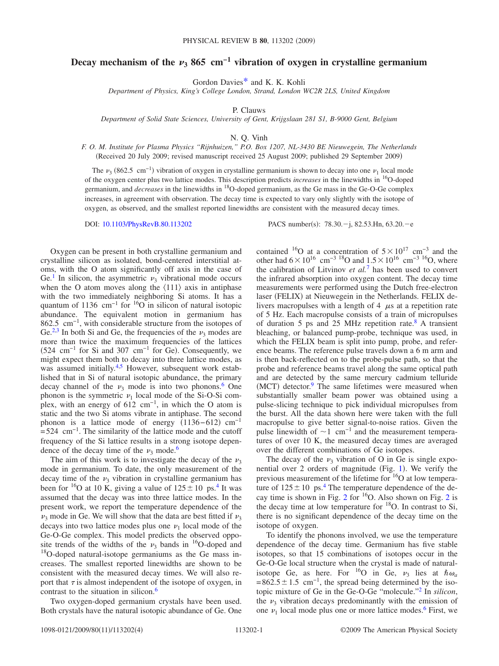## **Decay mechanism of the**  $\nu_3$  **865 cm<sup>-1</sup> vibration of oxygen in crystalline germanium**

Gordon Davie[s\\*](#page-3-0) and K. K. Kohli

*Department of Physics, King's College London, Strand, London WC2R 2LS, United Kingdom*

P. Clauws

*Department of Solid State Sciences, University of Gent, Krijgslaan 281 S1, B-9000 Gent, Belgium*

N. Q. Vinh

*F. O. M. Institute for Plasma Physics "Rijnhuizen," P.O. Box 1207, NL-3430 BE Nieuwegein, The Netherlands* (Received 20 July 2009; revised manuscript received 25 August 2009; published 29 September 2009)

The  $\nu_3$  (862.5 cm<sup>-1</sup>) vibration of oxygen in crystalline germanium is shown to decay into one  $\nu_1$  local mode of the oxygen center plus two lattice modes. This description predicts *increases* in the linewidths in 16O-doped germanium, and *decreases* in the linewidths in 18O-doped germanium, as the Ge mass in the Ge-O-Ge complex increases, in agreement with observation. The decay time is expected to vary only slightly with the isotope of oxygen, as observed, and the smallest reported linewidths are consistent with the measured decay times.

DOI: [10.1103/PhysRevB.80.113202](http://dx.doi.org/10.1103/PhysRevB.80.113202)

: 78.30.-j, 82.53.Hn, 63.20.-e

Oxygen can be present in both crystalline germanium and crystalline silicon as isolated, bond-centered interstitial atoms, with the O atom significantly off axis in the case of Ge.<sup>1</sup> In silicon, the asymmetric  $\nu_3$  vibrational mode occurs when the O atom moves along the  $\langle 111 \rangle$  axis in antiphase with the two immediately neighboring Si atoms. It has a quantum of 1136 cm<sup>-1</sup> for <sup>16</sup>O in silicon of natural isotopic abundance. The equivalent motion in germanium has 862.5 cm<sup>-1</sup>, with considerable structure from the isotopes of Ge.<sup>2,[3](#page-3-3)</sup> In both Si and Ge, the frequencies of the  $\nu_3$  modes are more than twice the maximum frequencies of the lattices  $(524 \text{ cm}^{-1} \text{ for Si and } 307 \text{ cm}^{-1} \text{ for Ge}).$  Consequently, we might expect them both to decay into three lattice modes, as was assumed initially.<sup>4[,5](#page-3-5)</sup> However, subsequent work established that in Si of natural isotopic abundance, the primary decay channel of the  $\nu_3$  mode is into two phonons.<sup>6</sup> One phonon is the symmetric  $\nu_1$  local mode of the Si-O-Si complex, with an energy of 612 cm−1, in which the O atom is static and the two Si atoms vibrate in antiphase. The second phonon is a lattice mode of energy  $(1136-612)$  cm<sup>-1</sup>  $=524$  cm<sup>-1</sup>. The similarity of the lattice mode and the cutoff frequency of the Si lattice results in a strong isotope dependence of the decay time of the  $\nu_3$  mode.<sup>6</sup>

The aim of this work is to investigate the decay of the  $\nu_3$ mode in germanium. To date, the only measurement of the decay time of the  $\nu_3$  vibration in crystalline germanium has been for <sup>16</sup>O at 10 K, giving a value of  $125 \pm 10$  ps.<sup>4</sup> It was assumed that the decay was into three lattice modes. In the present work, we report the temperature dependence of the  $\nu_3$  mode in Ge. We will show that the data are best fitted if  $\nu_3$ decays into two lattice modes plus one  $\nu_1$  local mode of the Ge-O-Ge complex. This model predicts the observed opposite trends of the widths of the  $\nu_3$  bands in <sup>16</sup>O-doped and  $18$ O-doped natural-isotope germaniums as the Ge mass increases. The smallest reported linewidths are shown to be consistent with the measured decay times. We will also report that  $\tau$  is almost independent of the isotope of oxygen, in contrast to the situation in silicon.<sup>6</sup>

Two oxygen-doped germanium crystals have been used. Both crystals have the natural isotopic abundance of Ge. One

contained <sup>16</sup>O at a concentration of  $5\times10^{17}$  cm<sup>-3</sup> and the other had  $6\times10^{16}$  cm<sup>-3 18</sup>O and  $1.5\times10^{16}$  cm<sup>-3 16</sup>O, where the calibration of Litvinov *et al.*[7](#page-3-7) has been used to convert the infrared absorption into oxygen content. The decay time measurements were performed using the Dutch free-electron laser (FELIX) at Nieuwegein in the Netherlands. FELIX delivers macropulses with a length of  $4 \mu s$  at a repetition rate of 5 Hz. Each macropulse consists of a train of micropulses of duration 5 ps and 25 MHz repetition rate[.8](#page-3-8) A transient bleaching, or balanced pump-probe, technique was used, in which the FELIX beam is split into pump, probe, and reference beams. The reference pulse travels down a 6 m arm and is then back-reflected on to the probe-pulse path, so that the probe and reference beams travel along the same optical path and are detected by the same mercury cadmium telluride  $(MCT)$  detector. $9$  The same lifetimes were measured when substantially smaller beam power was obtained using a pulse-slicing technique to pick individual micropulses from the burst. All the data shown here were taken with the full macropulse to give better signal-to-noise ratios. Given the pulse linewidth of  $\sim$ 1 cm<sup>-1</sup> and the measurement temperatures of over 10 K, the measured decay times are averaged over the different combinations of Ge isotopes.

The decay of the  $\nu_3$  vibration of O in Ge is single expo-nential over 2 orders of magnitude (Fig. [1](#page-1-0)). We verify the previous measurement of the lifetime for <sup>16</sup>O at low temperature of  $125 \pm 10$  ps.<sup>4</sup> The temperature dependence of the de-cay time is shown in Fig. [2](#page-1-1) for  $16$ O. Also shown on Fig. 2 is the decay time at low temperature for  $18$ O. In contrast to Si, there is no significant dependence of the decay time on the isotope of oxygen.

To identify the phonons involved, we use the temperature dependence of the decay time. Germanium has five stable isotopes, so that 15 combinations of isotopes occur in the Ge-O-Ge local structure when the crystal is made of naturalisotope Ge, as here. For <sup>16</sup>O in Ge,  $v_3$  lies at  $\hbar \omega_a$ =862.5  $\pm$  1.5 cm<sup>-1</sup>, the spread being determined by the isotopic mixture of Ge in the Ge-O-Ge "molecule.["2](#page-3-2) In *silicon*, the  $\nu_3$  vibration decays predominantly with the emission of one  $\nu_1$  local mode plus one or more lattice modes.<sup>6</sup> First, we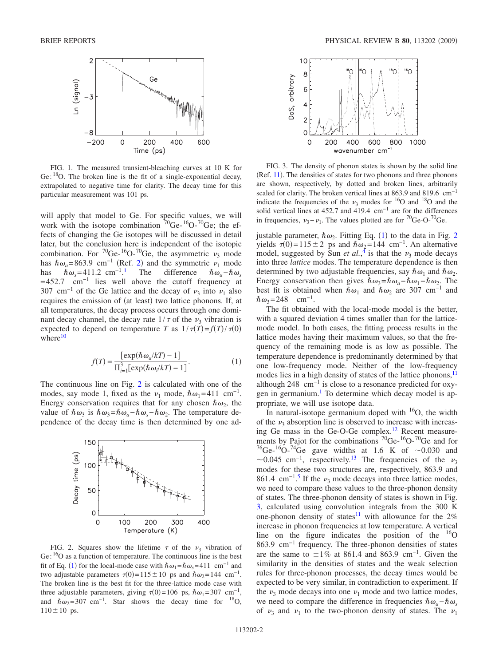<span id="page-1-0"></span>

FIG. 1. The measured transient-bleaching curves at 10 K for Ge:  ${}^{18}$ O. The broken line is the fit of a single-exponential decay, extrapolated to negative time for clarity. The decay time for this particular measurement was 101 ps.

will apply that model to Ge. For specific values, we will work with the isotope combination  ${}^{70}$ Ge- ${}^{16}$ O- ${}^{70}$ Ge; the effects of changing the Ge isotopes will be discussed in detail later, but the conclusion here is independent of the isotopic combination. For <sup>70</sup>Ge-<sup>16</sup>O-<sup>70</sup>Ge, the asymmetric  $\nu_3$  mode has  $\hbar \omega_a = 863.9$  cm<sup>-1</sup> (Ref. [2](#page-3-2)) and the symmetric  $\nu_1$  mode has  $\hbar \omega_s = 411.2 \text{ cm}^{-1}$  $\hbar \omega_s = 411.2 \text{ cm}^{-1}$  $\hbar \omega_s = 411.2 \text{ cm}^{-1}$ .<sup>1</sup> The difference  $\hbar \omega_a - \hbar \omega_s$  $=452.7$  cm<sup>-1</sup> lies well above the cutoff frequency at 307 cm<sup>-1</sup> of the Ge lattice and the decay of  $\nu_3$  into  $\nu_1$  also requires the emission of (at least) two lattice phonons. If, at all temperatures, the decay process occurs through one dominant decay channel, the decay rate  $1/\tau$  of the  $\nu_3$  vibration is expected to depend on temperature *T* as  $1/\tau(T) = f(T)/\tau(0)$ where $10$ 

$$
f(T) = \frac{\left[\exp(\hbar\omega_a/kT) - 1\right]}{\prod_{i=1}^3 \left[\exp(\hbar\omega_i/kT) - 1\right]}.
$$
 (1)

<span id="page-1-2"></span>The continuous line on Fig. [2](#page-1-1) is calculated with one of the modes, say mode 1, fixed as the  $\nu_1$  mode,  $\hbar \omega_1$ =411 cm<sup>-1</sup>. Energy conservation requires that for any chosen  $\hbar \omega_2$ , the value of  $\hbar \omega_3$  is  $\hbar \omega_3 = \hbar \omega_0 - \hbar \omega_5 - \hbar \omega_2$ . The temperature dependence of the decay time is then determined by one ad-

<span id="page-1-1"></span>

FIG. 2. Squares show the lifetime  $\tau$  of the  $\nu_3$  vibration of Ge: <sup>16</sup>O as a function of temperature. The continuous line is the best fit of Eq. ([1](#page-1-2)) for the local-mode case with  $\hbar \omega_1 = \hbar \omega_s = 411 \text{ cm}^{-1}$  and two adjustable parameters  $\tau(0) = 115 \pm 10$  ps and  $\hbar \omega_2 = 144$  cm<sup>-1</sup>. The broken line is the best fit for the three-lattice mode case with three adjustable parameters, giving  $\tau(0)$ =106 ps,  $\hbar \omega_1$ =307 cm<sup>-1</sup>, and  $\hbar \omega_2$ =307 cm<sup>-1</sup>. Star shows the decay time for <sup>18</sup>O,  $110 \pm 10$  ps.

<span id="page-1-3"></span>

FIG. 3. The density of phonon states is shown by the solid line  $(Ref. 11)$  $(Ref. 11)$  $(Ref. 11)$ . The densities of states for two phonons and three phonons are shown, respectively, by dotted and broken lines, arbitrarily scaled for clarity. The broken vertical lines at 863.9 and 819.6 cm<sup>-1</sup> indicate the frequencies of the  $\nu_3$  modes for <sup>16</sup>O and <sup>18</sup>O and the solid vertical lines at 452.7 and 419.4 cm−1 are for the differences in frequencies,  $v_3 - v_1$ . The values plotted are for <sup>70</sup>Ge-O-<sup>70</sup>Ge.

justable parameter,  $\hbar \omega_2$  $\hbar \omega_2$ . Fitting Eq. ([1](#page-1-2)) to the data in Fig. 2 yields  $\tau(0)=115\pm 2$  ps and  $\hbar \omega_2=144$  cm<sup>-1</sup>. An alternative model, suggested by Sun *et al.*<sup>[4](#page-3-4)</sup> is that the  $\nu_3$  mode decays into three *lattice* modes. The temperature dependence is then determined by two adjustable frequencies, say  $\hbar \omega_1$  and  $\hbar \omega_2$ . Energy conservation then gives  $\hbar \omega_3 = \hbar \omega_a - \hbar \omega_1 - \hbar \omega_2$ . The best fit is obtained when  $\hbar \omega_1$  and  $\hbar \omega_2$  are 307 cm<sup>-1</sup> and  $\hbar \omega_3 = 248$  cm<sup>-1</sup>.

The fit obtained with the local-mode model is the better, with a squared deviation 4 times smaller than for the latticemode model. In both cases, the fitting process results in the lattice modes having their maximum values, so that the frequency of the remaining mode is as low as possible. The temperature dependence is predominantly determined by that one low-frequency mode. Neither of the low-frequency modes lies in a high density of states of the lattice phonons,<sup>11</sup> although 248  $\text{cm}^{-1}$  is close to a resonance predicted for oxygen in germanium.<sup>1</sup> To determine which decay model is appropriate, we will use isotope data.

In natural-isotope germanium doped with  $16O$ , the width of the  $\nu_3$  absorption line is observed to increase with increasing Ge mass in the Ge-O-Ge complex[.12](#page-3-12) Recent measurements by Pajot for the combinations  ${}^{70}$ Ge- ${}^{16}$ O- ${}^{70}$ Ge and for <sup>76</sup>Ge-<sup>16</sup>O-<sup>74</sup>Ge gave widths at 1.6 K of ~0.030 and ~0.045 cm<sup>-1</sup>, respectively.<sup>13</sup> The frequencies of the  $\nu_3$ modes for these two structures are, respectively, 863.9 and 861.4 cm<sup>-1</sup>.<sup>[5](#page-3-5)</sup> If the  $\nu_3$  mode decays into three lattice modes, we need to compare these values to the three-phonon density of states. The three-phonon density of states is shown in Fig. [3,](#page-1-3) calculated using convolution integrals from the 300 K one-phonon density of states<sup>11</sup> with allowance for the  $2\%$ increase in phonon frequencies at low temperature. A vertical line on the figure indicates the position of the  $^{16}O$ 863.9 cm−1 frequency. The three-phonon densities of states are the same to  $\pm 1\%$  at 861.4 and 863.9 cm<sup>-1</sup>. Given the similarity in the densities of states and the weak selection rules for three-phonon processes, the decay times would be expected to be very similar, in contradiction to experiment. If the  $\nu_3$  mode decays into one  $\nu_1$  mode and two lattice modes, we need to compare the difference in frequencies  $\hbar \omega_a - \hbar \omega_s$ of  $\nu_3$  and  $\nu_1$  to the two-phonon density of states. The  $\nu_1$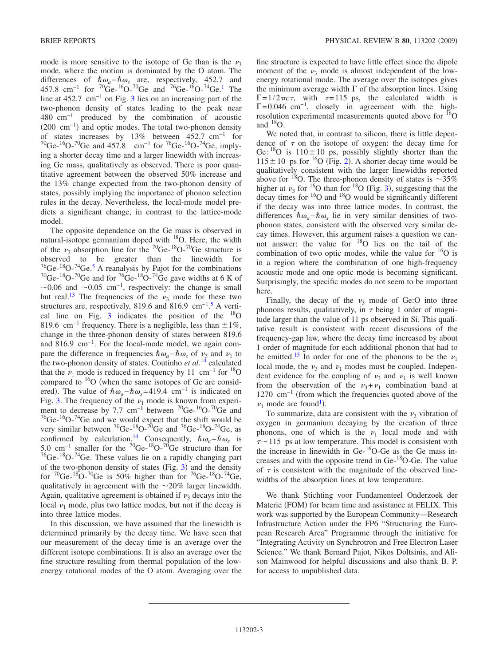mode is more sensitive to the isotope of Ge than is the  $\nu_3$ mode, where the motion is dominated by the O atom. The differences of  $\hbar \omega_a - \hbar \omega_s$  are, respectively, 452.7 and 457.8 cm<sup>-1</sup> for <sup>70</sup>Ge-<sup>16</sup>O-<sup>70</sup>Ge and <sup>76</sup>Ge-<sup>16</sup>O-<sup>74</sup>Ge.<sup>1</sup> The line at 452.7 cm−1 on Fig. [3](#page-1-3) lies on an increasing part of the two-phonon density of states leading to the peak near 480 cm−1 produced by the combination of acoustic  $(200 \text{ cm}^{-1})$  and optic modes. The total two-phonon density of states increases by 13% between 452.7 cm−1 for  ${}^{70}$ Ge-<sup>16</sup>O-<sup>70</sup>Ge and 457.8 cm<sup>-1</sup> for <sup>76</sup>Ge-<sup>16</sup>O-<sup>74</sup>Ge, implying a shorter decay time and a larger linewidth with increasing Ge mass, qualitatively as observed. There is poor quantitative agreement between the observed 50% increase and the 13% change expected from the two-phonon density of states, possibly implying the importance of phonon selection rules in the decay. Nevertheless, the local-mode model predicts a significant change, in contrast to the lattice-mode model.

The opposite dependence on the Ge mass is observed in natural-isotope germanium doped with  $18$ O. Here, the width of the  $\nu_3$  absorption line for the <sup>70</sup>Ge-<sup>18</sup>O-<sup>70</sup>Ge structure is observed to be greater than the linewidth for  $^{76}$ Ge- $^{18}$ O- $^{74}$ Ge.<sup>5</sup> A reanalysis by Pajot for the combinations <sup>70</sup>Ge-<sup>18</sup>O-<sup>70</sup>Ge and for <sup>76</sup>Ge-<sup>18</sup>O-<sup>74</sup>Ge gave widths at 6 K of  $\sim$ 0.06 and  $\sim$ 0.05 cm<sup>-1</sup>, respectively: the change is small but real.<sup>13</sup> The frequencies of the  $\nu_3$  mode for these two structures are, respectively, 819.6 and 816.9  $\text{cm}^{-1}$ .<sup>[5](#page-3-5)</sup> A verti-cal line on Fig. [3](#page-1-3) indicates the position of the  $^{18}$ O 819.6 cm<sup>-1</sup> frequency. There is a negligible, less than  $\pm 1\%$ , change in the three-phonon density of states between 819.6 and 816.9 cm−1. For the local-mode model, we again compare the difference in frequencies  $\hbar \omega_a - \hbar \omega_s$  of  $\nu_3$  and  $\nu_1$  to the two-phonon density of states. Coutinho *et al.*[14](#page-3-14) calculated that the  $\nu_1$  mode is reduced in frequency by 11 cm<sup>-1</sup> for <sup>18</sup>O compared to  $16$ O (when the same isotopes of Ge are considered). The value of  $\hbar \omega_a - \hbar \omega_s = 419.4$  cm<sup>-1</sup> is indicated on Fig. [3.](#page-1-3) The frequency of the  $\nu_1$  mode is known from experiment to decrease by 7.7 cm<sup>-1</sup> between <sup>70</sup>Ge-<sup>16</sup>O-<sup>70</sup>Ge and  $76$ Ge- $16$ O- $74$ Ge and we would expect that the shift would be very similar between  ${}^{70}$ Ge- ${}^{18}$ O- ${}^{70}$ Ge and  ${}^{76}$ Ge- ${}^{18}$ O- ${}^{74}$ Ge, as confirmed by calculation.<sup>14</sup> Consequently,  $\hbar \omega_a - \hbar \omega_s$  is 5.0 cm−1 smaller for the 70Ge-18O-70Ge structure than for 76Ge-18O-74Ge. These values lie on a rapidly changing part of the two-phonon density of states (Fig.  $3$ ) and the density for  ${}^{70}$ Ge- ${}^{18}$ O- ${}^{70}$ Ge is 50% higher than for  ${}^{76}$ Ge- ${}^{18}$ O- ${}^{74}$ Ge, qualitatively in agreement with the 20*%* larger linewidth. Again, qualitative agreement is obtained if  $\nu_3$  decays into the local  $\nu_1$  mode, plus two lattice modes, but not if the decay is into three lattice modes.

In this discussion, we have assumed that the linewidth is determined primarily by the decay time. We have seen that our measurement of the decay time is an average over the different isotope combinations. It is also an average over the fine structure resulting from thermal population of the lowenergy rotational modes of the O atom. Averaging over the fine structure is expected to have little effect since the dipole moment of the  $\nu_3$  mode is almost independent of the lowenergy rotational mode. The average over the isotopes gives the minimum average width  $\Gamma$  of the absorption lines. Using  $\Gamma = 1/2 \pi c \tau$ , with  $\tau = 115$  ps, the calculated width is  $\Gamma$ =0.046 cm<sup>-1</sup>, closely in agreement with the highresolution experimental measurements quoted above for  $^{16}$ O and  $^{18}$ O.

We noted that, in contrast to silicon, there is little dependence of  $\tau$  on the isotope of oxygen: the decay time for Ge:  $^{18}$ O is 110 ± 10 ps, possibly slightly shorter than the  $115 \pm 10$  ps for <sup>16</sup>O (Fig. [2](#page-1-1)). A shorter decay time would be qualitatively consistent with the larger linewidths reported above for <sup>18</sup>O. The three-phonon density of states is  $\sim$ 35% higher at  $\nu_3$  $\nu_3$  for  $^{16}_{16}$ O than for  $^{18}$ O (Fig. 3), suggesting that the decay times for 16O and 18O would be significantly different if the decay was into three lattice modes. In contrast, the differences  $\hbar \omega_a - \hbar \omega_s$  lie in very similar densities of twophonon states, consistent with the observed very similar decay times. However, this argument raises a question we cannot answer: the value for 18O lies on the tail of the combination of two optic modes, while the value for  $^{16}O$  is in a region where the combination of one high-frequency acoustic mode and one optic mode is becoming significant. Surprisingly, the specific modes do not seem to be important here.

Finally, the decay of the  $\nu_3$  mode of Ge:O into three phonons results, qualitatively, in  $\tau$  being 1 order of magnitude larger than the value of 11 ps observed in Si. This qualitative result is consistent with recent discussions of the frequency-gap law, where the decay time increased by about 1 order of magnitude for each additional phonon that had to be emitted.<sup>15</sup> In order for one of the phonons to be the  $\nu_1$ local mode, the  $\nu_3$  and  $\nu_1$  modes must be coupled. Independent evidence for the coupling of  $\nu_3$  and  $\nu_1$  is well known from the observation of the  $v_3 + v_1$  combination band at 1270 cm−1 from which the frequencies quoted above of the  $\nu_1$  mode are found<sup>1</sup>).

To summarize, data are consistent with the  $\nu_3$  vibration of oxygen in germanium decaying by the creation of three phonons, one of which is the  $\nu_1$  local mode and with  $\tau$  ~ 115 ps at low temperature. This model is consistent with the increase in linewidth in Ge- $16$ O-Ge as the Ge mass increases and with the opposite trend in Ge-18O-Ge. The value of  $\tau$  is consistent with the magnitude of the observed linewidths of the absorption lines at low temperature.

We thank Stichting voor Fundamenteel Onderzoek der Materie (FOM) for beam time and assistance at FELIX. This work was supported by the European Community—Research Infrastructure Action under the FP6 "Structuring the European Research Area" Programme through the initiative for "Integrating Activity on Synchrotron and Free Electron Laser Science." We thank Bernard Pajot, Nikos Doltsinis, and Alison Mainwood for helpful discussions and also thank B. P. for access to unpublished data.